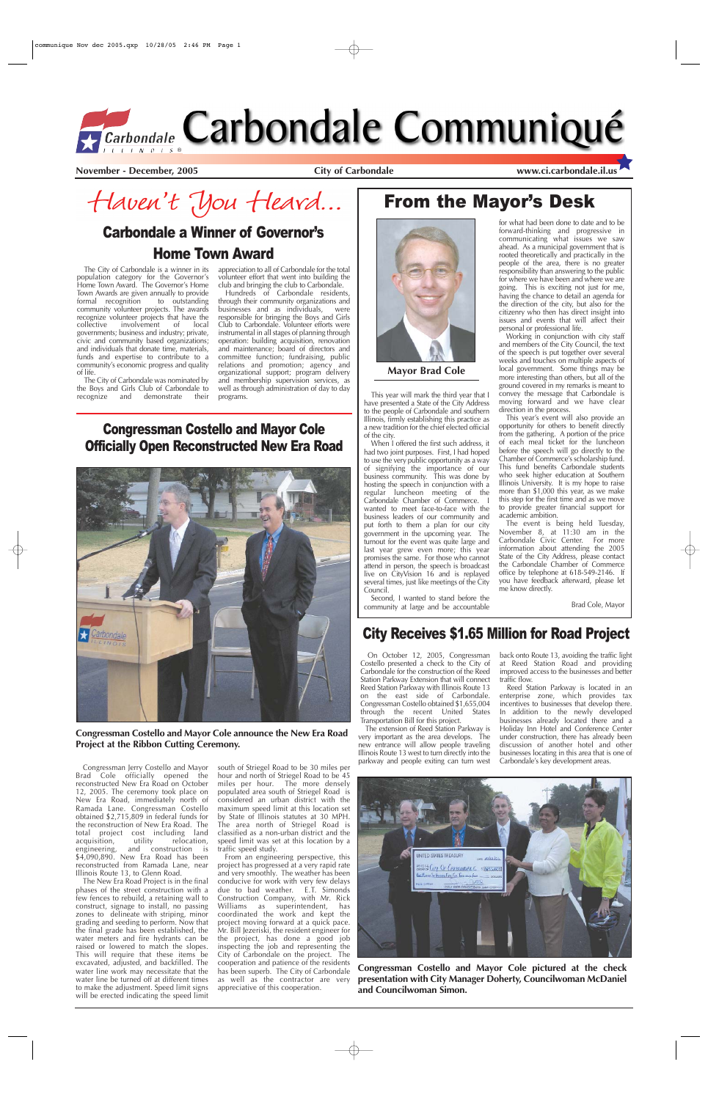The City of Carbondale is a winner in its population category for the Governor's Home Town Award. The Governor's Home Town Awards are given annually to provide<br>formal recognition to outstanding formal recognition community volunteer projects. The awards recognize volunteer projects that have the<br>collective involvement of local involvement of local governments; business and industry; private, civic and community based organizations; and individuals that donate time, materials, funds and expertise to contribute to a community's economic progress and quality of life.

The City of Carbondale was nominated by the Boys and Girls Club of Carbondale to<br>recognize and demonstrate their recognize and demonstrate

Hundreds of Carbondale residents, through their community organizations and businesses and as individuals, were responsible for bringing the Boys and Girls Club to Carbondale. Volunteer efforts were instrumental in all stages of planning through operation: building acquisition, renovation and maintenance; board of directors and committee function; fundraising, public relations and promotion; agency and organizational support; program delivery and membership supervision services, as well as through administration of day to day programs. This year will mark the third year that I

appreciation to all of Carbondale for the total volunteer effort that went into building the club and bringing the club to Carbondale.

> When I offered the first such address, it had two joint purposes. First, I had hoped to use the very public opportunity as a way of signifying the importance of our business community. This was done by hosting the speech in conjunction with a regular luncheon meeting of the Carbondale Chamber of Commerce. I wanted to meet face-to-face with the business leaders of our community and put forth to them a plan for our city government in the upcoming year. The turnout for the event was quite large and last year grew even more; this year promises the same. For those who cannot attend in person, the speech is broadcast live on CityVision 16 and is replayed several times, just like meetings of the City Council.

> have presented a State of the City Address to the people of Carbondale and southern Illinois, firmly establishing this practice as a new tradition for the chief elected official of the city.

> Second, I wanted to stand before the community at large and be accountable

### for what had been done to date and to be forward-thinking and progressive in communicating what issues we saw ahead. As a municipal government that is rooted theoretically and practically in the people of the area, there is no greater responsibility than answering to the public for where we have been and where we are going. This is exciting not just for me, having the chance to detail an agenda for the direction of the city, but also for the citizenry who then has direct insight into issues and events that will affect their personal or professional life.

Working in conjunction with city staff and members of the City Council, the text of the speech is put together over several weeks and touches on multiple aspects of local government. Some things may be more interesting than others, but all of the ground covered in my remarks is meant to convey the message that Carbondale is moving forward and we have clear direction in the process.

This year's event will also provide an opportunity for others to benefit directly from the gathering. A portion of the price of each meal ticket for the luncheon before the speech will go directly to the Chamber of Commerce's scholarship fund. This fund benefits Carbondale students who seek higher education at Southern Illinois University. It is my hope to raise more than \$1,000 this year, as we make this step for the first time and as we move to provide greater financial support for academic ambition.

The event is being held Tuesday, November 8, at 11:30 am in the Carbondale Civic Center. For more information about attending the 2005 State of the City Address, please contact the Carbondale Chamber of Commerce office by telephone at 618-549-2146. If you have feedback afterward, please let me know directly.

Brad Cole, Mayor

**November - December, 2005 City of Carbondale www.ci.carbondale.il.us**

Haven't You Heard...

# From the Mayor's Desk



**Mayor Brad Cole**

On October 12, 2005, Congressman Costello presented a check to the City of Carbondale for the construction of the Reed Station Parkway Extension that will connect Reed Station Parkway with Illinois Route 13 on the east side of Carbondale. Congressman Costello obtained \$1,655,004 through the recent United States

Transportation Bill for this project.

The extension of Reed Station Parkway is very important as the area develops. The new entrance will allow people traveling Illinois Route 13 west to turn directly into the parkway and people exiting can turn west back onto Route 13, avoiding the traffic light at Reed Station Road and providing improved access to the businesses and better traffic flow.

Reed Station Parkway is located in an enterprise zone, which provides tax incentives to businesses that develop there. In addition to the newly developed

businesses already located there and a Holiday Inn Hotel and Conference Center under construction, there has already been discussion of another hotel and other businesses locating in this area that is one of Carbondale's key development areas.

## City Receives \$1.65 Million for Road Project

# Carbondale a Winner of Governor's Home Town Award

### Congressman Costello and Mayor Cole Officially Open Reconstructed New Era Road



Congressman Jerry Costello and Mayor Brad Cole officially opened the reconstructed New Era Road on October 12, 2005. The ceremony took place on New Era Road, immediately north of Ramada Lane. Congressman Costello obtained \$2,715,809 in federal funds for the reconstruction of New Era Road. The total project cost including land<br>acquisition, utility relocation, acquisition, engineering, and construction is \$4,090,890. New Era Road has been reconstructed from Ramada Lane, near Illinois Route 13, to Glenn Road.

The New Era Road Project is in the final phases of the street construction with a few fences to rebuild, a retaining wall to construct, signage to install, no passing zones to delineate with striping, minor grading and seeding to perform. Now that the final grade has been established, the water meters and fire hydrants can be raised or lowered to match the slopes. This will require that these items be excavated, adjusted, and backfilled. The water line work may necessitate that the water line be turned off at different times to make the adjustment. Speed limit signs will be erected indicating the speed limit

south of Striegel Road to be 30 miles per hour and north of Striegel Road to be 45 miles per hour. The more densely populated area south of Striegel Road is considered an urban district with the maximum speed limit at this location set by State of Illinois statutes at 30 MPH. The area north of Striegel Road is classified as a non-urban district and the speed limit was set at this location by a traffic speed study.

From an engineering perspective, this project has progressed at a very rapid rate and very smoothly. The weather has been conducive for work with very few delays due to bad weather. E.T. Simonds Construction Company, with Mr. Rick Williams as superintendent, has coordinated the work and kept the project moving forward at a quick pace. Mr. Bill Jezeriski, the resident engineer for the project, has done a good job inspecting the job and representing the City of Carbondale on the project. The cooperation and patience of the residents has been superb. The City of Carbondale as well as the contractor are very appreciative of this cooperation.

### **Congressman Costello and Mayor Cole announce the New Era Road Project at the Ribbon Cutting Ceremony.**



**Congressman Costello and Mayor Cole pictured at the check presentation with City Manager Doherty, Councilwoman McDaniel and Councilwoman Simon.**



# *Garbondale Carbondale Communiqué*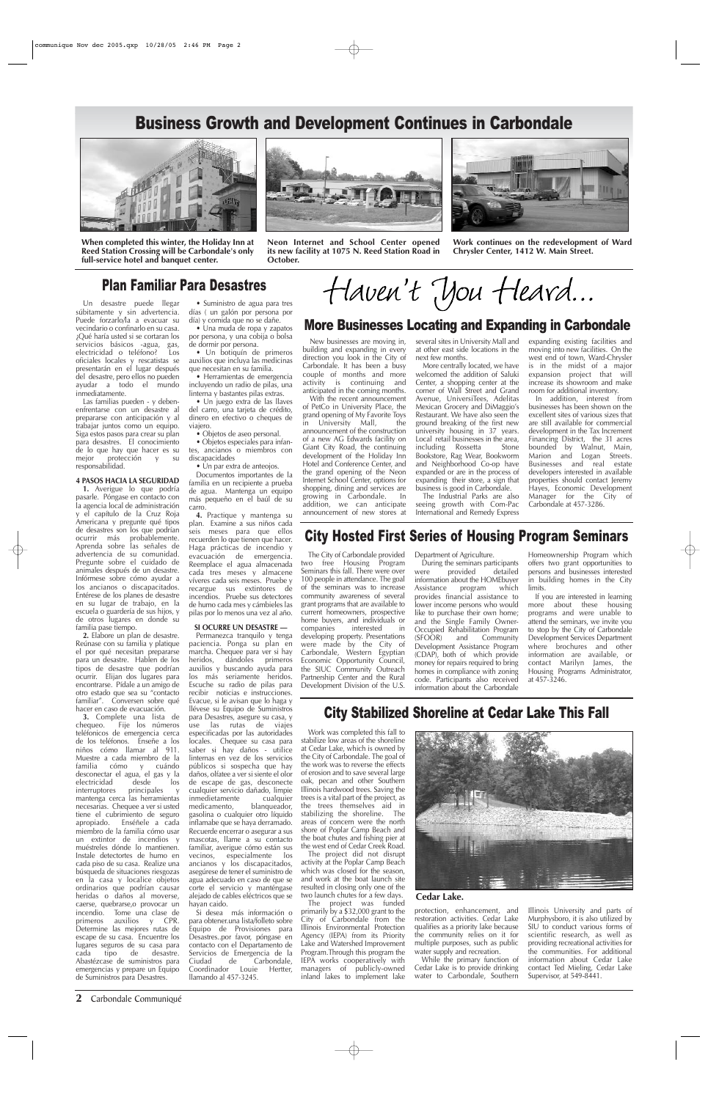**2** Carbondale Communiqué

### Plan Familiar Para Desastres

# Business Growth and Development Continues in Carbondale







**Neon Internet and School Center opened its new facility at 1075 N. Reed Station Road in October.**



**Work continues on the redevelopment of Ward Chrysler Center, 1412 W. Main Street.**

Un desastre puede llegar súbitamente y sin advertencia. Puede forzarlo/la a evacuar su vecindario o confinarlo en su casa. ¿Qué haría usted si se cortaran los servicios básicos -agua, gas,<br>electricidad o teléfono? Los electricidad o teléfono? oficiales locales y rescatistas se presentarán en el lugar después del desastre, pero ellos no pueden ayudar a todo el mundo inmediatamente.

Las familias pueden - y debenenfrentarse con un desastre al prepararse con anticipación y al trabajar juntos como un equipo. Siga estos pasos para crear su plan para desastres. El conocimiento de lo que hay que hacer es su<br>mejor protección y su protección y su responsabilidad.

### **4 PASOS HACIA LA SEGURIDAD**

**1.** Averigue lo que podría pasarle. Póngase en contacto con la agencia local de administración y el capítulo de la Cruz Roja Americana y pregunte qué tipos de desastres son los que podrían ocurrir más probablemente. Aprenda sobre las señales de advertencia de su comunidad. Pregunte sobre el cuidado de animales después de un desastre. Infórmese sobre cómo ayudar a los ancianos o discapacitados. Entérese de los planes de desastre en su lugar de trabajo, en la escuela o guardería de sus hijos, y de otros lugares en donde su familia pase tiempo.

**2.** Elabore un plan de desastre. Reúnase con su familia y platique el por qué necesitan prepararse para un desastre. Hablen de los tipos de desastre que podrían ocurrir. Elijan dos lugares para encontrarse. Pídale a un amigo de otro estado que sea su "contacto familiar". Conversen sobre qué hacer en caso de evacuación.

**3.** Complete una lista de chequeo. Fije los números teléfonicos de emergencia cerca de los teléfonos. Enseñe a los niños cómo llamar al 911. Muestre a cada miembro de la familia cómo y cuándo desconectar el agua, el gas y la electricidad desde los<br>interruptores principales y interruptores principales y mantenga cerca las herramientas necesarias. Chequee a ver si usted tiene el cubrimiento de seguro apropiado. Enséñele a cada miembro de la familia cómo usar un extintor de incendios y muéstreles dónde lo mantienen. Instale detectortes de humo en cada piso de su casa. Realize una búsqueda de situaciones riesgozas en la casa y localice objetos ordinarios que podrían causar heridas o daños al moverse, caerse, quebrarse,o provocar un incendio. Tome una clase de primeros auxilios y CPR. Determine las mejores rutas de escape de su casa. Encuentre los lugares seguros de su casa para cada tipo de desastre. Abastézcase de suministros para emergencias y prepare un Equipo de Suministros para Desastres.

• Suministro de agua para tres días ( un galón por persona por día) y comida que no se dañe.

• Una muda de ropa y zapatos por persona, y una cobija o bolsa de dormir por persona.

• Un botiquín de primeros auxilios que incluya las medicinas que necesitan en su familia.

• Herramientas de emergencia incluyendo un radio de pilas, una linterna y bastantes pilas extras. • Un juego extra de las llaves

del carro, una tarjeta de crédito, dinero en efectivo o cheques de viajero. • Objetos de aseo personal.

• Objetos especiales para infantes, ancianos o miembros con discapacidades

• Un par extra de anteojos.

Documentos importantes de la familia en un recipiente a prueba de agua. Mantenga un equipo más pequeño en el baúl de su carro.

**4.** Practique y mantenga su plan. Examine a sus niños cada seis meses para que ellos recuerden lo que tienen que hacer. Haga prácticas de incendio y evacuación de emergencia. Reemplace el agua almacenada cada tres meses y almacene víveres cada seis meses. Pruebe y recargue sus extintores de incendios. Pruebe sus detectores de humo cada mes y cámbieles las pilas por lo menos una vez al año.

### **SI OCURRE UN DESASTRE —**

Permanezca tranquilo y tenga paciencia. Ponga su plan en marcha. Chequee para ver si hay heridos, dándoles primeros auxilios y buscando ayuda para los más seriamente heridos. Escuche su radio de pilas para recibir noticias e instrucciones. Evacue, si le avisan que lo haga y llévese su Equipo de Suministros para Desastres, asegure su casa, y use las rutas de viajes especificadas por las autoridades locales. Chequee su casa para saber si hay daños - utilice linternas en vez de los servicios públicos si sospecha que hay daños, olfatee a ver si siente el olor de escape de gas, desconecte cualquier servicio dañado, limpie inmedietamente cualquier medicamento, blanqueador, gasolina o cualquier otro líquido inflamabe que se haya derramado. Recuerde encerrar o asegurar a sus mascotas, llame a su contacto familiar, averigue cómo están sus vecinos, especialmente los ancianos y los discapacitados, asegúrese de tener el suministro de agua adecuado en caso de que se corte el servicio y manténgase alejado de cables eléctricos que se hayan caido. Si desea más información o para obtener.una lista/folleto sobre Equipo de Provisiones para Desastres..por favor, póngase en contacto con el Departamento de Servicios de Emergencia de la Ciudad de Carbondale,<br>Coordinador Louie Hertter, Coordinador Louie llamando al 457-3245.

# Haven't You Heard...

### City Hosted First Series of Housing Program Seminars

The City of Carbondale provided two free Housing Program Seminars this fall. There were over 100 people in attendance. The goal of the seminars was to increase community awareness of several grant programs that are available to current homeowners, prospective home buyers, and individuals or<br>companies interested in interested in developing property. Presentations were made by the City of Carbondale, Western Egyptian Economic Opportunity Council, the SIUC Community Outreach Partnership Center and the Rural Development Division of the U.S.

Department of Agriculture. During the seminars participants<br>ere provided detailed were provided Homeownership Program which offers two grant opportunities to persons and businesses interested

information about the HOMEbuyer Assistance program which provides financial assistance to lower income persons who would like to purchase their own home; and the Single Family Owner-Occupied Rehabilitation Program<br>(SFOOR) and Community Development Assistance Program (CDAP), both of which provide money for repairs required to bring homes in compliance with zoning code. Participants also received information about the Carbondale in building homes in the City limits. If you are interested in learning more about these housing programs and were unable to attend the seminars, we invite you to stop by the City of Carbondale Development Services Department where brochures and other information are available, or contact Marilyn James, the Housing Programs Administrator, at 457-3246.

# City Stabilized Shoreline at Cedar Lake This Fall

 $(SFOOR)$  and

Work was completed this fall to stabilize low areas of the shoreline at Cedar Lake, which is owned by the City of Carbondale. The goal of the work was to reverse the effects of erosion and to save several large

oak, pecan and other Southern Illinois hardwood trees. Saving the trees is a vital part of the project, as the trees themselves aid in stabilizing the shoreline. The areas of concern were the north shore of Poplar Camp Beach and the boat chutes and fishing pier at the west end of Cedar Creek Road.

The project did not disrupt activity at the Poplar Camp Beach which was closed for the season, and work at the boat launch site resulted in closing only one of the two launch chutes for a few days.

The project was funded primarily by a \$32,000 grant to the City of Carbondale from the Illinois Environmental Protection Agency (IEPA) from its Priority Lake and Watershed Improvement Program.Through this program the IEPA works cooperatively with managers of publicly-owned inland lakes to implement lake



protection, enhancement, and restoration activities. Cedar Lake qualifies as a priority lake because the community relies on it for multiple purposes, such as public water supply and recreation.

While the primary function of Cedar Lake is to provide drinking water to Carbondale, Southern

Illinois University and parts of Murphysboro, it is also utilized by SIU to conduct various forms of scientific research, as well as providing recreational activities for the communities. For additional information about Cedar Lake contact Ted Mieling, Cedar Lake Supervisor, at 549-8441.

### **Cedar Lake.**

New businesses are moving in, building and expanding in every direction you look in the City of Carbondale. It has been a busy couple of months and more activity is continuing and anticipated in the coming months.

With the recent announcement of PetCo in University Place, the grand opening of My Favorite Toys

in University Mall, the announcement of the construction of a new AG Edwards facility on Giant City Road, the continuing development of the Holiday Inn Hotel and Conference Center, and the grand opening of the Neon Internet School Center, options for shopping, dining and services are growing in Carbondale. In addition, we can anticipate announcement of new stores at several sites in University Mall and at other east side locations in the next few months.

More centrally located, we have welcomed the addition of Saluki Center, a shopping center at the corner of Wall Street and Grand Avenue, UniversiTees, Adelitas Mexican Grocery and DiMaggio's Restaurant. We have also seen the ground breaking of the first new university housing in 37 years. Local retail businesses in the area, including Rossetta Stone Bookstore, Rag Wear, Bookworm and Neighborhood Co-op have expanded or are in the process of expanding their store, a sign that business is good in Carbondale.

The Industrial Parks are also seeing growth with Com-Pac International and Remedy Express

expanding existing facilities and moving into new facilities. On the west end of town, Ward-Chrysler is in the midst of a major expansion project that will increase its showroom and make room for additional inventory.

In addition, interest from businesses has been shown on the excellent sites of various sizes that are still available for commercial development in the Tax Increment Financing District, the 31 acres bounded by Walnut, Main, Marion and Logan Streets. Businesses and real estate developers interested in available properties should contact Jeremy Hayes, Economic Development Manager for the City of Carbondale at 457-3286.

### More Businesses Locating and Expanding in Carbondale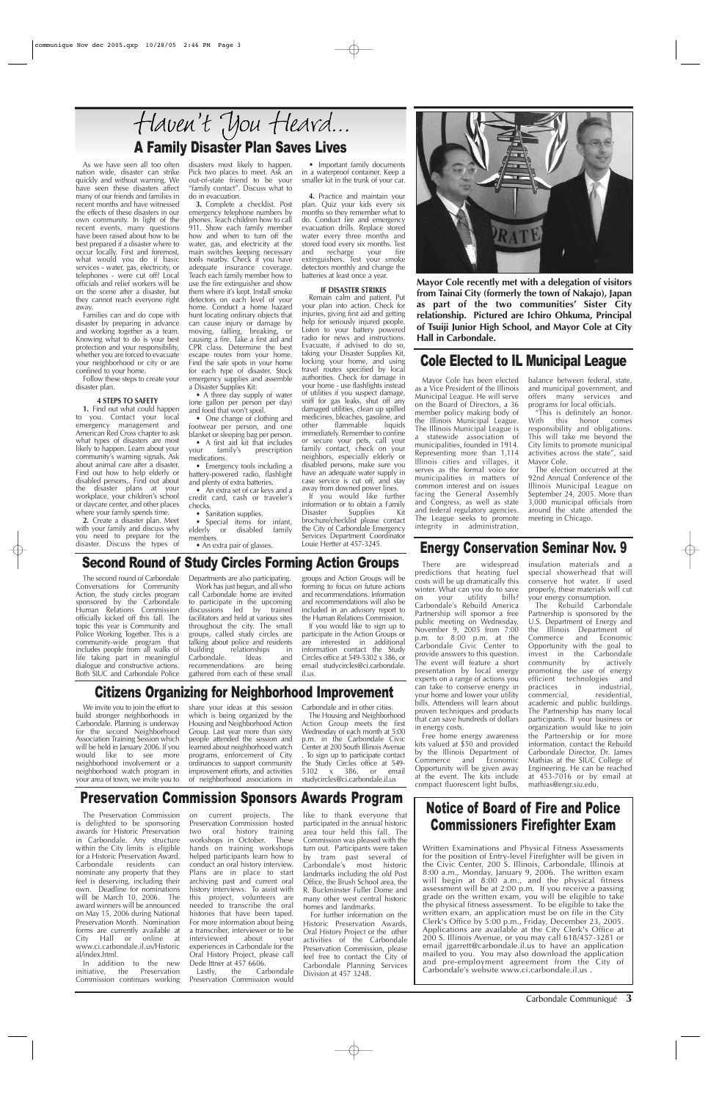Carbondale Communiqué **3**

As we have seen all too often nation wide, disaster can strike quickly and without warning. We have seen these disasters affect many of our friends and families in recent months and have witnessed the effects of these disasters in our own community. In light of the recent events, many questions have been raised about how to be best prepared if a disaster where to occur locally. First and foremost, what would you do if basic services - water, gas, electricity, or telephones - were cut off? Local officials and relief workers will be on the scene after a disaster, but they cannot reach everyone right away.

Families can and do cope with disaster by preparing in advance and working together as a team. Knowing what to do is your best protection and your responsibility, whether you are forced to evacuate your neighborhood or city or are confined to your home.

Follow these steps to create your disaster plan.

### **4 STEPS TO SAFETY**

**1.** Find out what could happen to you. Contact your local emergency management and American Red Cross chapter to ask what types of disasters are most likely to happen. Learn about your community's warning signals. Ask about animal care after a disaster. Find out how to help elderly or disabled persons,. Find out about the disaster plans at your workplace, your children's school or daycare center, and other places where your family spends time.

• A three day supply of water (one gallon per person per day) and food that won't spoil.

• One change of clothing and footwear per person, and one blanket or sleeping bag per person. • A first aid kit that includes<br>
ur family's prescription your family's prescription

• An extra set of car keys and a credit card, cash or traveler's checks.

• Sanitation supplies.

**2.** Create a disaster plan. Meet with your family and discuss why you need to prepare for the disaster. Discuss the types of

disasters most likely to happen. Pick two places to meet. Ask an out-of-state friend to be your "family contact". Discuss what to do in evacuation.

**3.** Complete a checklist. Post emergency telephone numbers by phones. Teach children how to call 911. Show each family member how and when to turn off the water, gas, and electricity at the main switches keeping necessary tools nearby. Check if you have adequate insurance coverage. Teach each family member how to use the fire extinguisher and show them where it's kept. Install smoke detectors on each level of your home. Conduct a home hazard hunt locating ordinary objects that can cause injury or damage by moving, falling, breaking, or causing a fire. Take a first aid and CPR class. Determine the best escape routes from your home. Find the safe spots in your home for each type of disaster. Stock emergency supplies and assemble a Disaster Supplies Kit:

# Haven't You Heard... A Family Disaster Plan Saves Lives

medications. • Emergency tools including a battery-powered radio, flashlight and plenty of extra batteries.

• Special items for infant, elderly or disabled family members. • An extra pair of glasses.

• Important family documents in a waterproof container. Keep a smaller kit in the trunk of your car.

**4.** Practice and maintain your plan. Quiz your kids every six months so they remember what to do. Conduct fire and emergency evacuation drills. Replace stored water every three months and stored food every six months. Test<br>and recharge your fire recharge your fire extinguishers. Test your smoke detectors monthly and change the batteries at least once a year.

### **IF DISASTER STRIKES**

Remain calm and patient. Put your plan into action. Check for injuries, giving first aid and getting help for seriously injured people. Listen to your battery powered radio for news and instructions. Evacuate, if advised to do so, taking your Disaster Supplies Kit, locking your home, and using travel routes specified by local authorities. Check for damage in your home - use flashlights instead of utilities if you suspect damage, sniff for gas leaks, shut off any damaged utilities, clean up spilled medicines, bleaches, gasoline, and<br>other flammable liquids flammable immediately. Remember to confine or secure your pets, call your family contact, check on your neighbors, especially elderly or disabled persons, make sure you have an adequate water supply in case service is cut off, and stay away from downed power lines.

Dede Ittner at 457 6606.<br>Lastly, the Carbondale Lastly, the Preservation Commission would

like to thank everyone that participated in the annual historic area tour held this fall. The Commission was pleased with the turn out. Participants were taken by tram past several of Carbondale's most historic landmarks including the old Post Office, the Brush School area, the R. Buckminster Fuller Dome and many other west central historic homes and landmarks.

If you would like further information or to obtain a Family<br>Disaster Supplies Kit Supplies Kit brochure/checklist please contact the City of Carbondale Emergency Services Department Coordinator Louie Hertter at 457-3245.



### Energy Conservation Seminar Nov. 9

# Notice of Board of Fire and Police Commissioners Firefighter Exam

Written Examinations and Physical Fitness Assessments for the position of Entry-level Firefighter will be given in the Civic Center, 200 S. Illinois, Carbondale, Illinois at 8:00 a.m., Monday, January 9, 2006. The written exam will begin at 8:00 a.m., and the physical fitness assessment will be at 2:00 p.m. If you receive a passing grade on the written exam, you will be eligible to take the physical fitness assessment. To be eligible to take the written exam, an application must be on file in the City Clerk's Office by 5:00 p.m., Friday, December 23, 2005. Applications are available at the City Clerk's Office at 200 S. Illinois Avenue, or you may call 618/457-3281 or email jgarrett@carbondale.il.us to have an application mailed to you. You may also download the application and pre-employment agreement from the City of Carbondale's website www.ci.carbondale.il.us .

There are widespread predictions that heating fuel costs will be up dramatically this winter. What can you do to save<br>on your utility bills? on your utility Carbondale's Rebuild America Partnership will sponsor a free public meeting on Wednesday, November 9, 2005 from 7:00 p.m. to 8:00 p.m. at the Carbondale Civic Center to provide answers to this question. The event will feature a short presentation by local energy experts on a range of actions you can take to conserve energy in your home and lower your utility bills. Attendees will learn about proven techniques and products

that can save hundreds of dollars in energy costs.

Free home energy awareness kits valued at \$50 and provided by the Illinois Department of Commerce and Economic Opportunity will be given away at the event. The kits include compact fluorescent light bulbs,

insulation materials and a special showerhead that will conserve hot water. If used properly, these materials will cut your energy consumption.

The Rebuild Carbondale Partnership is sponsored by the U.S. Department of Energy and the Illinois Department of Commerce and Economic Opportunity with the goal to invest in the Carbondale<br>community by actively community by actively promoting the use of energy efficient technologies and<br>practices in industrial. practices in industrial, commercial, academic and public buildings. The Partnership has many local participants. If your business or organization would like to join the Partnership or for more information, contact the Rebuild Carbondale Director, Dr. James Mathias at the SIUC College of Engineering. He can be reached at 453-7016 or by email at mathias@engr.siu.edu.

**Mayor Cole recently met with a delegation of visitors from Tainai City (formerly the town of Nakajo), Japan as part of the two communities' Sister City relationship. Pictured are Ichiro Ohkuma, Principal of Tsuiji Junior High School, and Mayor Cole at City Hall in Carbondale.**

The Preservation Commission is delighted to be sponsoring awards for Historic Preservation in Carbondale. Any structure within the City limits is eligible for a Historic Preservation Award. Carbondale residents can nominate any property that they feel is deserving, including their own. Deadline for nominations will be March 10, 2006. The award winners will be announced on May 15, 2006 during National Preservation Month. Nomination forms are currently available at City Hall or online at www.ci.carbondale.il.us/Historic al/index.html.

In addition to the new initiative, the Preservation Commission continues working on current projects. The Preservation Commission hosted two oral history training workshops in October. These hands on training workshops helped participants learn how to conduct an oral history interview. Plans are in place to start archiving past and current oral history interviews. To assist with this project, volunteers are needed to transcribe the oral histories that have been taped. For more information about being a transcriber, interviewer or to be interviewed about your experiences in Carbondale for the Oral History Project, please call

For further information on the Historic Preservation Awards, Oral History Project or the other activities of the Carbondale Preservation Commission, please feel free to contact the City of Carbondale Planning Services Division at 457 3248.

## Preservation Commission Sponsors Awards Program

The second round of Carbondale Conversations for Community Action, the study circles program sponsored by the Carbondale Human Relations Commission officially kicked off this fall. The topic this year is Community and Police Working Together. This is a community-wide program that includes people from all walks of life taking part in meaningful dialogue and constructive actions. Both SIUC and Carbondale Police Departments are also participating. Work has just begun, and all who

call Carbondale home are invited to participate in the upcoming discussions led by trained facilitators and held at various sites throughout the city. The small groups, called study circles are talking about police and residents<br>building relationships in relationships in Carbondale. Ideas and<br>recommendations are being recommendations are gathered from each of these small

groups and Action Groups will be forming to focus on future actions and recommendations. Information and recommendations will also be included in an advisory report to the Human Relations Commission.

If you would like to sign up to participate in the Action Groups or are interested in additional information contact the Study Circles office at 549-5302 x 386, or email studycircles@ci.carbondale. il.us.

### Second Round of Study Circles Forming Action Groups

build stronger neighborhoods in Carbondale. Planning is underway for the second Neighborhood Association Training Session which will be held in January 2006. If you would like to see more neighborhood involvement or a neighborhood watch program in your area of town, we invite you to

which is being organized by the Housing and Neighborhood Action Group. Last year more than sixty people attended the session and learned about neighborhood watch programs, enforcement of City ordinances to support community improvement efforts, and activities of neighborhood associations in

The Housing and Neighborhood Action Group meets the first Wednesday of each month at 5:00 p.m. in the Carbondale Civic Center at 200 South Illinois Avenue . To sign up to participate contact the Study Circles office at 549-<br>5302 x 386, or email 5302 x 386, studycircles@ci.carbondale.il.us

Citizens Organizing for Neighborhood Improvement

We invite you to join the effort to share your ideas at this session Carbondale and in other cities.

Mayor Cole has been elected as a Vice President of the Illinois Municipal League. He will serve on the Board of Directors, a 36 member policy making body of the Illinois Municipal League. The Illinois Municipal League is a statewide association of municipalities, founded in 1914. Representing more than 1,114 Illinois cities and villages, it serves as the formal voice for municipalities in matters of common interest and on issues facing the General Assembly and Congress, as well as state and federal regulatory agencies. The League seeks to promote integrity in administration,

balance between federal, state, and municipal government, and offers many services and programs for local officials.

"This is definitely an honor. With this honor comes responsibility and obligations. This will take me beyond the City limits to promote municipal activities across the state", said Mayor Cole.

The election occurred at the 92nd Annual Conference of the Illinois Municipal League on September 24, 2005. More than 3,000 municipal officials from around the state attended the meeting in Chicago.

### Cole Elected to IL Municipal League